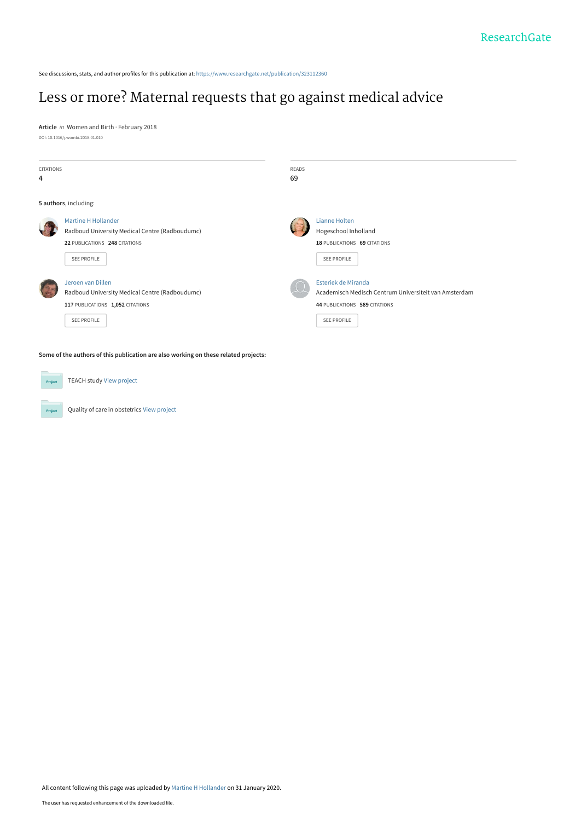See discussions, stats, and author profiles for this publication at: [https://www.researchgate.net/publication/323112360](https://www.researchgate.net/publication/323112360_Less_or_more_Maternal_requests_that_go_against_medical_advice?enrichId=rgreq-b7b0426840223655975bb3ec70ffcbfa-XXX&enrichSource=Y292ZXJQYWdlOzMyMzExMjM2MDtBUzo4NTMzMjAxOTMyNzc5NTZAMTU4MDQ1ODc5Njk2MQ%3D%3D&el=1_x_2&_esc=publicationCoverPdf)

# [Less or more? Maternal requests that go against medical advice](https://www.researchgate.net/publication/323112360_Less_or_more_Maternal_requests_that_go_against_medical_advice?enrichId=rgreq-b7b0426840223655975bb3ec70ffcbfa-XXX&enrichSource=Y292ZXJQYWdlOzMyMzExMjM2MDtBUzo4NTMzMjAxOTMyNzc5NTZAMTU4MDQ1ODc5Njk2MQ%3D%3D&el=1_x_3&_esc=publicationCoverPdf)

**Article** in Women and Birth · February 2018 DOI: 10.1016/j.wombi.2018.01.010

| <b>CITATIONS</b><br>4 |                                                                                                                                     | <b>READS</b><br>69 |                                                                                                                                     |
|-----------------------|-------------------------------------------------------------------------------------------------------------------------------------|--------------------|-------------------------------------------------------------------------------------------------------------------------------------|
|                       | 5 authors, including:                                                                                                               |                    |                                                                                                                                     |
|                       | <b>Martine H Hollander</b><br>Radboud University Medical Centre (Radboudumc)<br>22 PUBLICATIONS 248 CITATIONS<br><b>SEE PROFILE</b> |                    | Lianne Holten<br>Hogeschool Inholland<br>18 PUBLICATIONS 69 CITATIONS<br><b>SEE PROFILE</b>                                         |
|                       | Jeroen van Dillen<br>Radboud University Medical Centre (Radboudumc)<br>117 PUBLICATIONS 1,052 CITATIONS<br><b>SEE PROFILE</b>       |                    | Esteriek de Miranda<br>Academisch Medisch Centrum Universiteit van Amsterdam<br>44 PUBLICATIONS 589 CITATIONS<br><b>SEE PROFILE</b> |

TEACH study [View project](https://www.researchgate.net/project/TEACH-study?enrichId=rgreq-b7b0426840223655975bb3ec70ffcbfa-XXX&enrichSource=Y292ZXJQYWdlOzMyMzExMjM2MDtBUzo4NTMzMjAxOTMyNzc5NTZAMTU4MDQ1ODc5Njk2MQ%3D%3D&el=1_x_9&_esc=publicationCoverPdf) **Project** Quality of care in obstetrics [View project](https://www.researchgate.net/project/Quality-of-care-in-obstetrics?enrichId=rgreq-b7b0426840223655975bb3ec70ffcbfa-XXX&enrichSource=Y292ZXJQYWdlOzMyMzExMjM2MDtBUzo4NTMzMjAxOTMyNzc5NTZAMTU4MDQ1ODc5Njk2MQ%3D%3D&el=1_x_9&_esc=publicationCoverPdf) Project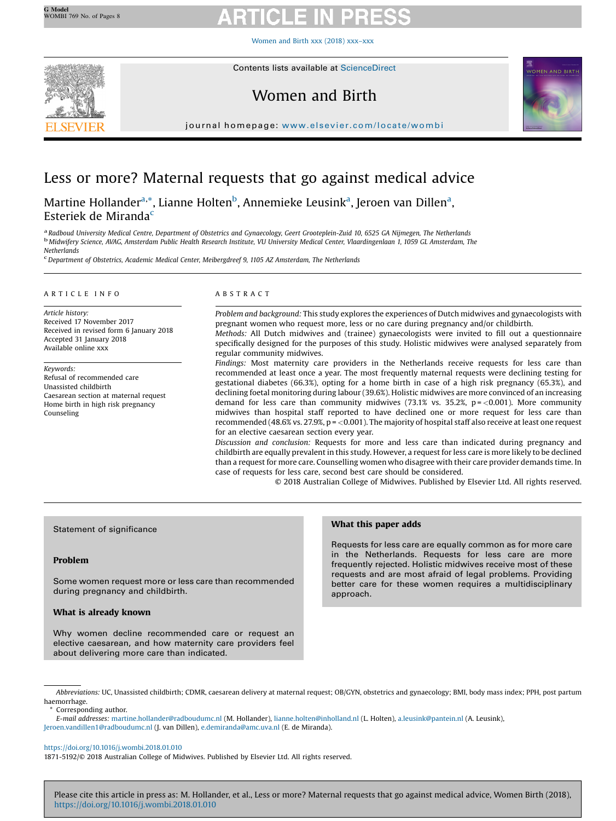[Women](https://doi.org/10.1016/j.wombi.2018.01.010) and Birth xxx (2018) xxx–xxx



# Women and Birth



journal homepage: www.elsevier.com/locate/women/locate/women/locate/women/locate/women/locate/women/locate/women/locate/women/locate/women/locate/women/locate/women/locate/women/locate/women/locate/women/locate/wombi $\mathcal{$ 

# Less or more? Maternal requests that go against medical advice

Martine Hollander<sup>a,\*</sup>, Lianne Holten<sup>b</sup>, Annemieke Leusink<sup>a</sup>, Jeroen van Dillen<sup>a</sup>, Esteriek de Miranda<sup>c</sup>

<sup>a</sup> Radboud University Medical Centre, Department of Obstetrics and Gynaecology, Geert Grooteplein-Zuid 10, 6525 GA Nijmegen, The Netherlands<br><sup>b</sup> Midwifery Science, AVAG, Amsterdam Public Health Research Institute, VU Univ **Netherlands** 

<sup>c</sup> Department of Obstetrics, Academic Medical Center, Meibergdreef 9, 1105 AZ Amsterdam, The Netherlands

### A R T I C L E I N F O

Article history: Received 17 November 2017 Received in revised form 6 January 2018 Accepted 31 January 2018 Available online xxx

Keywords: Refusal of recommended care Unassisted childbirth Caesarean section at maternal request Home birth in high risk pregnancy Counseling

### A B S T R A C T

Problem and background: This study explores the experiences of Dutch midwives and gynaecologists with pregnant women who request more, less or no care during pregnancy and/or childbirth. Methods: All Dutch midwives and (trainee) gynaecologists were invited to fill out a questionnaire

specifically designed for the purposes of this study. Holistic midwives were analysed separately from regular community midwives.

Findings: Most maternity care providers in the Netherlands receive requests for less care than recommended at least once a year. The most frequently maternal requests were declining testing for gestational diabetes (66.3%), opting for a home birth in case of a high risk pregnancy (65.3%), and declining foetal monitoring during labour (39.6%). Holistic midwives are more convinced of an increasing demand for less care than community midwives  $(73.1\% \text{ vs. } 35.2\% \text{ p} = <0.001)$ . More community midwives than hospital staff reported to have declined one or more request for less care than recommended (48.6% vs. 27.9%,  $p = <0.001$ ). The majority of hospital staff also receive at least one request for an elective caesarean section every year.

Discussion and conclusion: Requests for more and less care than indicated during pregnancy and childbirth are equally prevalent in this study. However, a request for less care is more likely to be declined than a request for more care. Counselling women who disagree with their care provider demands time. In case of requests for less care, second best care should be considered.

© 2018 Australian College of Midwives. Published by Elsevier Ltd. All rights reserved.

### Statement of significance

### Problem

Some women request more or less care than recommended during pregnancy and childbirth.

### What is already known

Why women decline recommended care or request an elective caesarean, and how maternity care providers feel about delivering more care than indicated.

# What this paper adds

Requests for less care are equally common as for more care in the Netherlands. Requests for less care are more frequently rejected. Holistic midwives receive most of these requests and are most afraid of legal problems. Providing better care for these women requires a multidisciplinary approach.

Abbreviations: UC, Unassisted childbirth; CDMR, caesarean delivery at maternal request; OB/GYN, obstetrics and gynaecology; BMI, body mass index; PPH, post partum haemorrhage.

Corresponding author.

E-mail addresses: [martine.hollander@radboudumc.nl](mailto:martine.hollander@radboudumc.nl) (M. Hollander), [lianne.holten@inholland.nl](mailto:lianne.holten@inholland.nl) (L. Holten), [a.leusink@pantein.nl](mailto:a.leusink@pantein.nl) (A. Leusink),

[Jeroen.vandillen1@radboudumc.nl](mailto:Jeroen.vandillen1@radboudumc.nl) (J. van Dillen), [e.demiranda@amc.uva.nl](mailto:e.demiranda@amc.uva.nl) (E. de Miranda).

### <https://doi.org/10.1016/j.wombi.2018.01.010>

1871-5192/© 2018 Australian College of Midwives. Published by Elsevier Ltd. All rights reserved.

Please cite this article in press as: M. Hollander, et al., Less or more? Maternal requests that go against medical advice, Women Birth (2018), <https://doi.org/10.1016/j.wombi.2018.01.010>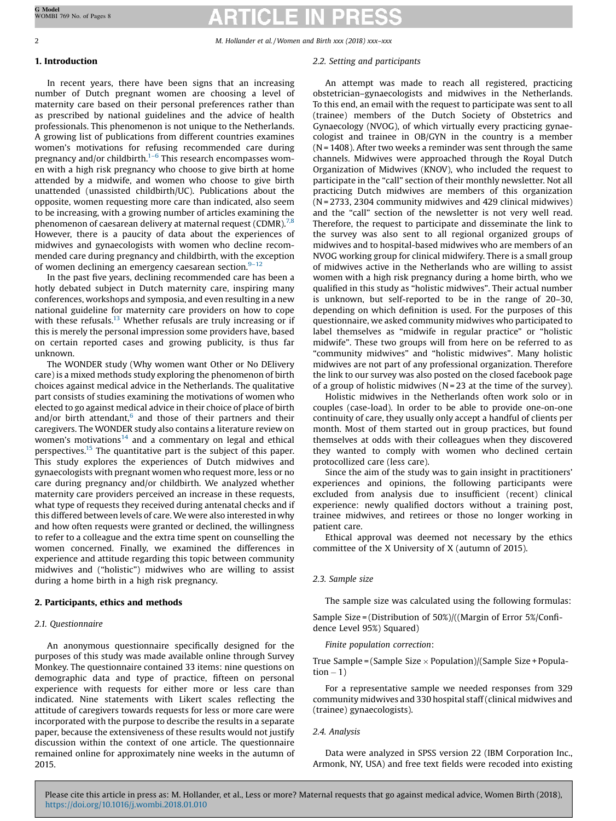# 1. Introduction

In recent years, there have been signs that an increasing number of Dutch pregnant women are choosing a level of maternity care based on their personal preferences rather than as prescribed by national guidelines and the advice of health professionals. This phenomenon is not unique to the Netherlands. A growing list of publications from different countries examines women's motivations for refusing recommended care during pregnancy and/or childbirth. $1-6$  This research [encompasses](#page-8-0) women with a high risk pregnancy who choose to give birth at home attended by a midwife, and women who choose to give birth unattended (unassisted childbirth/UC). Publications about the opposite, women requesting more care than indicated, also seem to be increasing, with a growing number of articles examining the phenomenon of caesarean delivery at maternal request (CDMR).<sup>[7,8](#page-8-0)</sup> However, there is a paucity of data about the experiences of midwives and gynaecologists with women who decline recommended care during pregnancy and childbirth, with the exception of women declining an emergency caesarean section. $9-12$  $9-12$ 

In the past five years, declining recommended care has been a hotly debated subject in Dutch maternity care, inspiring many conferences, workshops and symposia, and even resulting in a new national guideline for maternity care providers on how to cope with these refusals.<sup>[13](#page-8-0)</sup> Whether refusals are truly increasing or if this is merely the personal impression some providers have, based on certain reported cases and growing publicity, is thus far unknown.

The WONDER study (Why women want Other or No DElivery care) is a mixed methods study exploring the phenomenon of birth choices against medical advice in the Netherlands. The qualitative part consists of studies examining the motivations of women who elected to go against medical advice in their choice of place of birth and/or birth attendant, $6$  and those of their partners and their caregivers. The WONDER study also contains a literature review on women's motivations<sup>[14](#page-8-0)</sup> and a commentary on legal and ethical perspectives[.15](#page-8-0) The quantitative part is the subject of this paper. This study explores the experiences of Dutch midwives and gynaecologists with pregnant women who request more, less or no care during pregnancy and/or childbirth. We analyzed whether maternity care providers perceived an increase in these requests, what type of requests they received during antenatal checks and if this differed between levels of care. We were also interested in why and how often requests were granted or declined, the willingness to refer to a colleague and the extra time spent on counselling the women concerned. Finally, we examined the differences in experience and attitude regarding this topic between community midwives and ("holistic") midwives who are willing to assist during a home birth in a high risk pregnancy.

### 2. Participants, ethics and methods

# 2.1. Questionnaire

An anonymous questionnaire specifically designed for the purposes of this study was made available online through Survey Monkey. The questionnaire contained 33 items: nine questions on demographic data and type of practice, fifteen on personal experience with requests for either more or less care than indicated. Nine statements with Likert scales reflecting the attitude of caregivers towards requests for less or more care were incorporated with the purpose to describe the results in a separate paper, because the extensiveness of these results would not justify discussion within the context of one article. The questionnaire remained online for approximately nine weeks in the autumn of 2015.

### 2.2. Setting and participants

An attempt was made to reach all registered, practicing obstetrician–gynaecologists and midwives in the Netherlands. To this end, an email with the request to participate was sent to all (trainee) members of the Dutch Society of Obstetrics and Gynaecology (NVOG), of which virtually every practicing gynaecologist and trainee in OB/GYN in the country is a member  $(N = 1408)$ . After two weeks a reminder was sent through the same channels. Midwives were approached through the Royal Dutch Organization of Midwives (KNOV), who included the request to participate in the "call" section of their monthly newsletter. Not all practicing Dutch midwives are members of this organization (N = 2733, 2304 community midwives and 429 clinical midwives) and the "call" section of the newsletter is not very well read. Therefore, the request to participate and disseminate the link to the survey was also sent to all regional organized groups of midwives and to hospital-based midwives who are members of an NVOG working group for clinical midwifery. There is a small group of midwives active in the Netherlands who are willing to assist women with a high risk pregnancy during a home birth, who we qualified in this study as "holistic midwives". Their actual number is unknown, but self-reported to be in the range of 20–30, depending on which definition is used. For the purposes of this questionnaire, we asked community midwives who participated to label themselves as "midwife in regular practice" or "holistic midwife". These two groups will from here on be referred to as "community midwives" and "holistic midwives". Many holistic midwives are not part of any professional organization. Therefore the link to our survey was also posted on the closed facebook page of a group of holistic midwives  $(N = 23$  at the time of the survey).

Holistic midwives in the Netherlands often work solo or in couples (case-load). In order to be able to provide one-on-one continuity of care, they usually only accept a handful of clients per month. Most of them started out in group practices, but found themselves at odds with their colleagues when they discovered they wanted to comply with women who declined certain protocollized care (less care).

Since the aim of the study was to gain insight in practitioners' experiences and opinions, the following participants were excluded from analysis due to insufficient (recent) clinical experience: newly qualified doctors without a training post, trainee midwives, and retirees or those no longer working in patient care.

Ethical approval was deemed not necessary by the ethics committee of the X University of X (autumn of 2015).

### 2.3. Sample size

The sample size was calculated using the following formulas:

Sample Size = (Distribution of 50%)/((Margin of Error 5%/Confidence Level 95%) Squared)

Finite population correction:

True Sample = (Sample Size  $\times$  Population)/(Sample Size + Population  $-1$ )

For a representative sample we needed responses from 329 community midwives and 330 hospital staff (clinical midwives and (trainee) gynaecologists).

### 2.4. Analysis

Data were analyzed in SPSS version 22 (IBM Corporation Inc., Armonk, NY, USA) and free text fields were recoded into existing

Please cite this article in press as: M. Hollander, et al., Less or more? Maternal requests that go against medical advice, Women Birth (2018), <https://doi.org/10.1016/j.wombi.2018.01.010>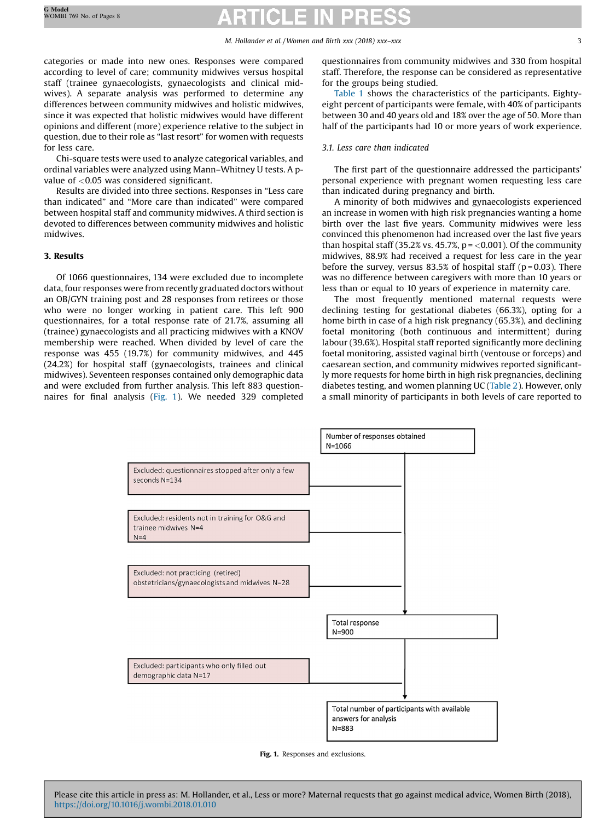categories or made into new ones. Responses were compared according to level of care; community midwives versus hospital staff (trainee gynaecologists, gynaecologists and clinical midwives). A separate analysis was performed to determine any differences between community midwives and holistic midwives, since it was expected that holistic midwives would have different opinions and different (more) experience relative to the subject in question, due to their role as "last resort" for women with requests for less care.

Chi-square tests were used to analyze categorical variables, and ordinal variables were analyzed using Mann–Whitney U tests. A pvalue of <0.05 was considered significant.

Results are divided into three sections. Responses in "Less care than indicated" and "More care than indicated" were compared between hospital staff and community midwives. A third section is devoted to differences between community midwives and holistic midwives.

# 3. Results

Of 1066 questionnaires, 134 were excluded due to incomplete data, four responses were from recently graduated doctors without an OB/GYN training post and 28 responses from retirees or those who were no longer working in patient care. This left 900 questionnaires, for a total response rate of 21.7%, assuming all (trainee) gynaecologists and all practicing midwives with a KNOV membership were reached. When divided by level of care the response was 455 (19.7%) for community midwives, and 445 (24.2%) for hospital staff (gynaecologists, trainees and clinical midwives). Seventeen responses contained only demographic data and were excluded from further analysis. This left 883 questionnaires for final analysis (Fig. 1). We needed 329 completed

questionnaires from community midwives and 330 from hospital staff. Therefore, the response can be considered as representative for the groups being studied.

[Table](#page-4-0) 1 shows the characteristics of the participants. Eightyeight percent of participants were female, with 40% of participants between 30 and 40 years old and 18% over the age of 50. More than half of the participants had 10 or more years of work experience.

# 3.1. Less care than indicated

The first part of the questionnaire addressed the participants' personal experience with pregnant women requesting less care than indicated during pregnancy and birth.

A minority of both midwives and gynaecologists experienced an increase in women with high risk pregnancies wanting a home birth over the last five years. Community midwives were less convinced this phenomenon had increased over the last five years than hospital staff (35.2% vs. 45.7%,  $p = < 0.001$ ). Of the community midwives, 88.9% had received a request for less care in the year before the survey, versus 83.5% of hospital staff ( $p = 0.03$ ). There was no difference between caregivers with more than 10 years or less than or equal to 10 years of experience in maternity care.

The most frequently mentioned maternal requests were declining testing for gestational diabetes (66.3%), opting for a home birth in case of a high risk pregnancy (65.3%), and declining foetal monitoring (both continuous and intermittent) during labour (39.6%). Hospital staff reported significantly more declining foetal monitoring, assisted vaginal birth (ventouse or forceps) and caesarean section, and community midwives reported significantly more requests for home birth in high risk pregnancies, declining diabetes testing, and women planning UC ([Table](#page-4-0) 2). However, only a small minority of participants in both levels of care reported to



Fig. 1. Responses and exclusions.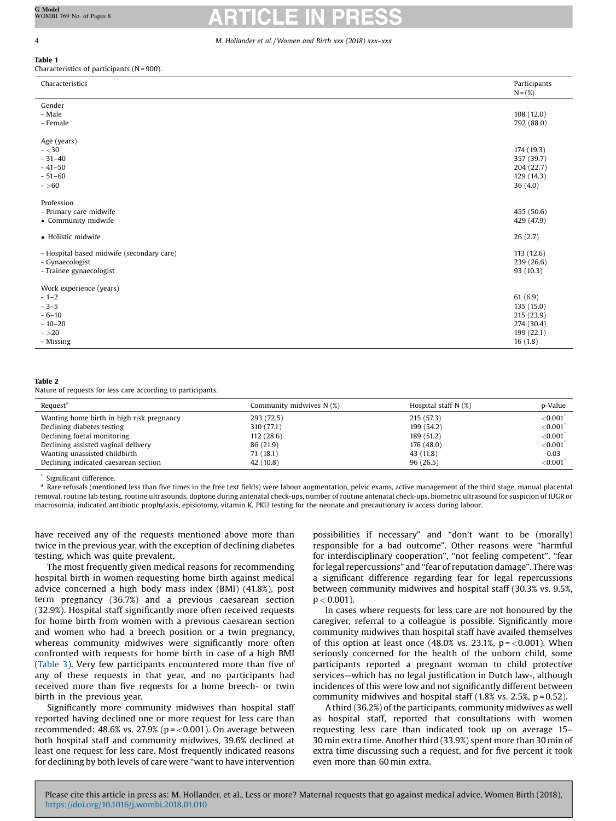<span id="page-4-0"></span>Table 1

Characteristics of participants (N = 900).

| Characteristics                                                                                               | Participants<br>$N = (%)$                                                |
|---------------------------------------------------------------------------------------------------------------|--------------------------------------------------------------------------|
| Gender<br>- Male<br>- Female                                                                                  | 108 (12.0)<br>792 (88.0)                                                 |
| Age (years)<br>$- < 30$<br>$-31-40$<br>$-41-50$<br>$-51-60$<br>$- > 60$                                       | 174 (19.3)<br>357 (39.7)<br>204 (22.7)<br>129 (14.3)<br>36(4.0)          |
| Profession<br>- Primary care midwife<br>• Community midwife                                                   | 455 (50.6)<br>429 (47.9)                                                 |
| • Holistic midwife<br>- Hospital based midwife (secondary care)<br>- Gynaecologist<br>- Trainee gynaecologist | 26(2.7)<br>113(12.6)<br>239(26.6)<br>93(10.3)                            |
| Work experience (years)<br>$-1-2$<br>$-3-5$<br>$-6 - 10$<br>$-10-20$<br>$-$ >20<br>- Missing                  | 61(6.9)<br>135(15.0)<br>215(23.9)<br>274 (30.4)<br>199 (22.1)<br>16(1.8) |

# Table 2

Nature of requests for less care according to participants.

| Request <sup>a</sup>                      | Community midwives N (%) | Hospital staff $N$ (%) | p-Value |
|-------------------------------------------|--------------------------|------------------------|---------|
| Wanting home birth in high risk pregnancy | 293 (72.5)               | 215(57.3)              | < 0.001 |
| Declining diabetes testing                | 310 (77.1)               | 199 (54.2)             | < 0.001 |
| Declining foetal monitoring               | 112(28.6)                | 189 (51.2)             | < 0.001 |
| Declining assisted vaginal delivery       | 86 (21.9)                | 176(48.0)              | < 0.001 |
| Wanting unassisted childbirth             | 71 (18.1)                | 43 (11.8)              | 0.03    |
| Declining indicated caesarean section     | 42 (10.8)                | 96(26.5)               | < 0.001 |

\* Significant difference.

Rare refusals (mentioned less than five times in the free text fields) were labour augmentation, pelvic exams, active management of the third stage, manual placental removal, routine lab testing, routine ultrasounds, doptone during antenatal check-ups, number of routine antenatal check-ups, biometric ultrasound for suspicion of IUGR or macrosomia, indicated antibiotic prophylaxis, episiotomy, vitamin K, PKU testing for the neonate and precautionary iv access during labour.

have received any of the requests mentioned above more than twice in the previous year, with the exception of declining diabetes testing, which was quite prevalent.

The most frequently given medical reasons for recommending hospital birth in women requesting home birth against medical advice concerned a high body mass index (BMI) (41.8%), post term pregnancy (36.7%) and a previous caesarean section (32.9%). Hospital staff significantly more often received requests for home birth from women with a previous caesarean section and women who had a breech position or a twin pregnancy, whereas community midwives were significantly more often confronted with requests for home birth in case of a high BMI ([Table](#page-5-0) 3). Very few participants encountered more than five of any of these requests in that year, and no participants had received more than five requests for a home breech- or twin birth in the previous year.

Significantly more community midwives than hospital staff reported having declined one or more request for less care than recommended: 48.6% vs. 27.9% ( $p = < 0.001$ ). On average between both hospital staff and community midwives, 39.6% declined at least one request for less care. Most frequently indicated reasons for declining by both levels of care were "want to have intervention

possibilities if necessary" and "don't want to be (morally) responsible for a bad outcome". Other reasons were "harmful for interdisciplinary cooperation", "not feeling competent", "fear for legal repercussions" and "fear of reputation damage". There was a significant difference regarding fear for legal repercussions between community midwives and hospital staff (30.3% vs. 9.5%,  $p < 0.001$ ).

In cases where requests for less care are not honoured by the caregiver, referral to a colleague is possible. Significantly more community midwives than hospital staff have availed themselves of this option at least once  $(48.0\% \text{ vs. } 23.1\% \text{ p} = <0.001)$ . When seriously concerned for the health of the unborn child, some participants reported a pregnant woman to child protective services—which has no legal justification in Dutch law-, although incidences of this were low and not significantly different between community midwives and hospital staff  $(1.8\% \text{ vs. } 2.5\%, \text{ p} = 0.52)$ .

A third (36.2%) of the participants, community midwives as well as hospital staff, reported that consultations with women requesting less care than indicated took up on average 15– 30 min extra time. Another third (33.9%) spent more than 30 min of extra time discussing such a request, and for five percent it took even more than 60 min extra.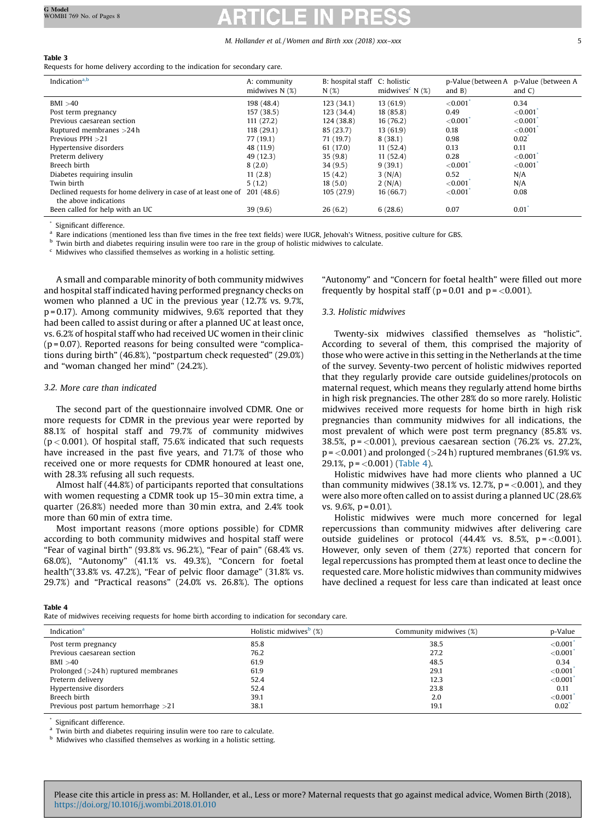# <span id="page-5-0"></span>Table 3

Requests for home delivery according to the indication for secondary care.

| Indication <sup>a,b</sup>                                                                          | A: community<br>midwives $N$ $(\%)$ | B: hospital staff C: holistic<br>N(%) | midwives <sup><math>\epsilon</math></sup> N (%) | and $B)$   | p-Value (between A p-Value (between A<br>and $C$ ) |
|----------------------------------------------------------------------------------------------------|-------------------------------------|---------------------------------------|-------------------------------------------------|------------|----------------------------------------------------|
| BMI > 40                                                                                           | 198 (48.4)                          | 123(34.1)                             | 13(61.9)                                        | ${<}0.001$ | 0.34                                               |
| Post term pregnancy                                                                                | 157(38.5)                           | 123(34.4)                             | 18 (85.8)                                       | 0.49       | < 0.001                                            |
| Previous caesarean section                                                                         | 111 (27.2)                          | 124 (38.8)                            | 16(76.2)                                        | < 0.001    | < 0.001                                            |
| Ruptured membranes $>24$ h                                                                         | 118(29.1)                           | 85(23.7)                              | 13(61.9)                                        | 0.18       | < 0.001                                            |
| Previous PPH $>21$                                                                                 | 77 (19.1)                           | 71 (19.7)                             | 8(38.1)                                         | 0.98       | $0.02^{\degree}$                                   |
| Hypertensive disorders                                                                             | 48 (11.9)                           | 61(17.0)                              | 11(52.4)                                        | 0.13       | 0.11                                               |
| Preterm delivery                                                                                   | 49 (12.3)                           | 35(9.8)                               | 11(52.4)                                        | 0.28       | < 0.001                                            |
| Breech birth                                                                                       | 8(2.0)                              | 34(9.5)                               | 9(39.1)                                         | < 0.001    | < 0.001                                            |
| Diabetes requiring insulin                                                                         | 11(2.8)                             | 15(4.2)                               | 3(N/A)                                          | 0.52       | N/A                                                |
| Twin birth                                                                                         | 5(1.2)                              | 18(5.0)                               | 2(N/A)                                          | < 0.001    | N/A                                                |
| Declined requests for home delivery in case of at least one of 201 (48.6)<br>the above indications |                                     | 105(27.9)                             | 16(66.7)                                        | < 0.001    | 0.08                                               |
| Been called for help with an UC                                                                    | 39(9.6)                             | 26(6.2)                               | 6(28.6)                                         | 0.07       | 0.01                                               |

Significant difference

<sup>a</sup> Rare indications (mentioned less than five times in the free text fields) were IUGR, Jehovah's Witness, positive culture for GBS.<br><sup>b</sup> Twin high and diabates requiring inculin were too gare in the group of belietic mid

Twin birth and diabetes requiring insulin were too rare in the group of holistic midwives to calculate.

Midwives who classified themselves as working in a holistic setting.

A small and comparable minority of both community midwives and hospital staff indicated having performed pregnancy checks on women who planned a UC in the previous year (12.7% vs. 9.7%, p = 0.17). Among community midwives, 9.6% reported that they had been called to assist during or after a planned UC at least once, vs. 6.2% of hospital staff who had received UC women in their clinic  $(p = 0.07)$ . Reported reasons for being consulted were "complications during birth" (46.8%), "postpartum check requested" (29.0%) and "woman changed her mind" (24.2%).

# 3.2. More care than indicated

The second part of the questionnaire involved CDMR. One or more requests for CDMR in the previous year were reported by 88.1% of hospital staff and 79.7% of community midwives  $(p < 0.001)$ . Of hospital staff, 75.6% indicated that such requests have increased in the past five years, and 71.7% of those who received one or more requests for CDMR honoured at least one, with 28.3% refusing all such requests.

Almost half (44.8%) of participants reported that consultations with women requesting a CDMR took up 15–30 min extra time, a quarter (26.8%) needed more than 30 min extra, and 2.4% took more than 60 min of extra time.

Most important reasons (more options possible) for CDMR according to both community midwives and hospital staff were "Fear of vaginal birth" (93.8% vs. 96.2%), "Fear of pain" (68.4% vs. 68.0%), "Autonomy" (41.1% vs. 49.3%), "Concern for foetal health"(33.8% vs. 47.2%), "Fear of pelvic floor damage" (31.8% vs. 29.7%) and "Practical reasons" (24.0% vs. 26.8%). The options "Autonomy" and "Concern for foetal health" were filled out more frequently by hospital staff ( $p = 0.01$  and  $p = <0.001$ ).

# 3.3. Holistic midwives

Twenty-six midwives classified themselves as "holistic". According to several of them, this comprised the majority of those who were active in this setting in the Netherlands at the time of the survey. Seventy-two percent of holistic midwives reported that they regularly provide care outside guidelines/protocols on maternal request, which means they regularly attend home births in high risk pregnancies. The other 28% do so more rarely. Holistic midwives received more requests for home birth in high risk pregnancies than community midwives for all indications, the most prevalent of which were post term pregnancy (85.8% vs. 38.5%,  $p = < 0.001$ ), previous caesarean section (76.2% vs. 27.2%,  $p = 0.001$ ) and prolonged ( $>24$  h) ruptured membranes (61.9% vs. 29.1%,  $p = <0.001$ ) (Table 4).

Holistic midwives have had more clients who planned a UC than community midwives (38.1% vs. 12.7%,  $p = < 0.001$ ), and they were also more often called on to assist during a planned UC (28.6% vs. 9.6%, p = 0.01).

Holistic midwives were much more concerned for legal repercussions than community midwives after delivering care outside guidelines or protocol  $(44.4\% \text{ vs. } 8.5\%, \text{ p} = <0.001)$ . However, only seven of them (27%) reported that concern for legal repercussions has prompted them at least once to decline the requested care. More holistic midwives than community midwives have declined a request for less care than indicated at least once

Rate of midwives receiving requests for home birth according to indication for secondary care.

| Indication <sup>a</sup>                | Holistic midwives <sup><math>\mathbf{b}</math></sup> (%) | Community midwives (%) | p-Value                 |
|----------------------------------------|----------------------------------------------------------|------------------------|-------------------------|
| Post term pregnancy                    | 85.8                                                     | 38.5                   | < 0.001                 |
| Previous caesarean section             | 76.2                                                     | 27.2                   | < 0.001                 |
| BMI > 40                               | 61.9                                                     | 48.5                   | 0.34                    |
| Prolonged $(>24 h)$ ruptured membranes | 61.9                                                     | 29.1                   | ${<}0.001$ <sup>*</sup> |
| Preterm delivery                       | 52.4                                                     | 12.3                   | < 0.001                 |
| Hypertensive disorders                 | 52.4                                                     | 23.8                   | 0.11                    |
| Breech birth                           | 39.1                                                     | 2.0                    | < 0.001                 |
| Previous post partum hemorrhage $>21$  | 38.1                                                     | 19.1                   | 0.02                    |

Significant difference.

Twin birth and diabetes requiring insulin were too rare to calculate.

**b** Midwives who classified themselves as working in a holistic setting.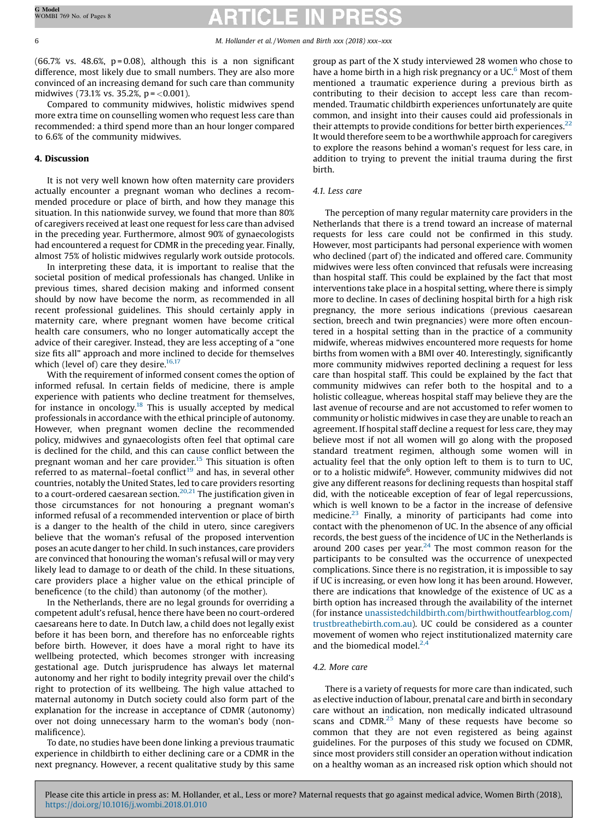$(66.7% \text{ vs. } 48.6%, \text{ p} = 0.08)$ , although this is a non significant difference, most likely due to small numbers. They are also more convinced of an increasing demand for such care than community midwives (73.1% vs. 35.2%,  $p = < 0.001$ ).

Compared to community midwives, holistic midwives spend more extra time on counselling women who request less care than recommended: a third spend more than an hour longer compared to 6.6% of the community midwives.

# 4. Discussion

It is not very well known how often maternity care providers actually encounter a pregnant woman who declines a recommended procedure or place of birth, and how they manage this situation. In this nationwide survey, we found that more than 80% of caregivers received at least one request for less care than advised in the preceding year. Furthermore, almost 90% of gynaecologists had encountered a request for CDMR in the preceding year. Finally, almost 75% of holistic midwives regularly work outside protocols.

In interpreting these data, it is important to realise that the societal position of medical professionals has changed. Unlike in previous times, shared decision making and informed consent should by now have become the norm, as recommended in all recent professional guidelines. This should certainly apply in maternity care, where pregnant women have become critical health care consumers, who no longer automatically accept the advice of their caregiver. Instead, they are less accepting of a "one size fits all" approach and more inclined to decide for themselves which (level of) care they desire. $16,17$ 

With the requirement of informed consent comes the option of informed refusal. In certain fields of medicine, there is ample experience with patients who decline treatment for themselves, for instance in oncology. $18$  This is usually accepted by medical professionals in accordance with the ethical principle of autonomy. However, when pregnant women decline the recommended policy, midwives and gynaecologists often feel that optimal care is declined for the child, and this can cause conflict between the pregnant woman and her care provider.<sup>[15](#page-8-0)</sup> This situation is often referred to as maternal–foetal conflict<sup>19</sup> and has, in several other countries, notably the United States, led to care providers resorting to a court-ordered caesarean section.<sup>20,21</sup> The justifi[cation](#page-8-0) given in those circumstances for not honouring a pregnant woman's informed refusal of a recommended intervention or place of birth is a danger to the health of the child in utero, since caregivers believe that the woman's refusal of the proposed intervention poses an acute danger to her child. In such instances, care providers are convinced that honouring the woman's refusal will or may very likely lead to damage to or death of the child. In these situations, care providers place a higher value on the ethical principle of beneficence (to the child) than autonomy (of the mother).

In the Netherlands, there are no legal grounds for overriding a competent adult's refusal, hence there have been no court-ordered caesareans here to date. In Dutch law, a child does not legally exist before it has been born, and therefore has no enforceable rights before birth. However, it does have a moral right to have its wellbeing protected, which becomes stronger with increasing gestational age. Dutch jurisprudence has always let maternal autonomy and her right to bodily integrity prevail over the child's right to protection of its wellbeing. The high value attached to maternal autonomy in Dutch society could also form part of the explanation for the increase in acceptance of CDMR (autonomy) over not doing unnecessary harm to the woman's body (nonmalificence).

To date, no studies have been done linking a previous traumatic experience in childbirth to either declining care or a CDMR in the next pregnancy. However, a recent qualitative study by this same group as part of the X study interviewed 28 women who chose to have a home birth in a high risk pregnancy or a  $UC<sup>6</sup>$  $UC<sup>6</sup>$  $UC<sup>6</sup>$  Most of them mentioned a traumatic experience during a previous birth as contributing to their decision to accept less care than recommended. Traumatic childbirth experiences unfortunately are quite common, and insight into their causes could aid professionals in their attempts to provide conditions for better birth experiences. $^{22}$ It would therefore seem to be a worthwhile approach for caregivers to explore the reasons behind a woman's request for less care, in addition to trying to prevent the initial trauma during the first birth.

# 4.1. Less care

The perception of many regular maternity care providers in the Netherlands that there is a trend toward an increase of maternal requests for less care could not be confirmed in this study. However, most participants had personal experience with women who declined (part of) the indicated and offered care. Community midwives were less often convinced that refusals were increasing than hospital staff. This could be explained by the fact that most interventions take place in a hospital setting, where there is simply more to decline. In cases of declining hospital birth for a high risk pregnancy, the more serious indications (previous caesarean section, breech and twin pregnancies) were more often encountered in a hospital setting than in the practice of a community midwife, whereas midwives encountered more requests for home births from women with a BMI over 40. Interestingly, significantly more community midwives reported declining a request for less care than hospital staff. This could be explained by the fact that community midwives can refer both to the hospital and to a holistic colleague, whereas hospital staff may believe they are the last avenue of recourse and are not accustomed to refer women to community or holistic midwives in case they are unable to reach an agreement. If hospital staff decline a request for less care, they may believe most if not all women will go along with the proposed standard treatment regimen, although some women will in actuality feel that the only option left to them is to turn to UC, or to a holistic midwife<sup>6</sup>. However, community midwives did not give any different reasons for declining requests than hospital staff did, with the noticeable exception of fear of legal repercussions, which is well known to be a factor in the increase of defensive medicine.<sup>[23](#page-8-0)</sup> Finally, a minority of participants had come into contact with the phenomenon of UC. In the absence of any official records, the best guess of the incidence of UC in the Netherlands is around 200 cases per year. $24$  The most common reason for the participants to be consulted was the occurrence of unexpected complications. Since there is no registration, it is impossible to say if UC is increasing, or even how long it has been around. However, there are indications that knowledge of the existence of UC as a birth option has increased through the availability of the internet (for instance [unassistedchildbirth.com/birthwithoutfearblog.com/](http://unassistedchildbirth.com/birthwithoutfearblog.com/trustbreathebirth.com.au) [trustbreathebirth.com.au](http://unassistedchildbirth.com/birthwithoutfearblog.com/trustbreathebirth.com.au)). UC could be considered as a counter movement of women who reject institutionalized maternity care and the biomedical model. $^{2,4}$ 

# 4.2. More care

There is a variety of requests for more care than indicated, such as elective induction of labour, prenatal care and birth in secondary care without an indication, non medically indicated ultrasound scans and  $CDMR<sup>25</sup>$  Many of these requests have become so common that they are not even registered as being against guidelines. For the purposes of this study we focused on CDMR, since most providers still consider an operation without indication on a healthy woman as an increased risk option which should not

Please cite this article in press as: M. Hollander, et al., Less or more? Maternal requests that go against medical advice, Women Birth (2018), <https://doi.org/10.1016/j.wombi.2018.01.010>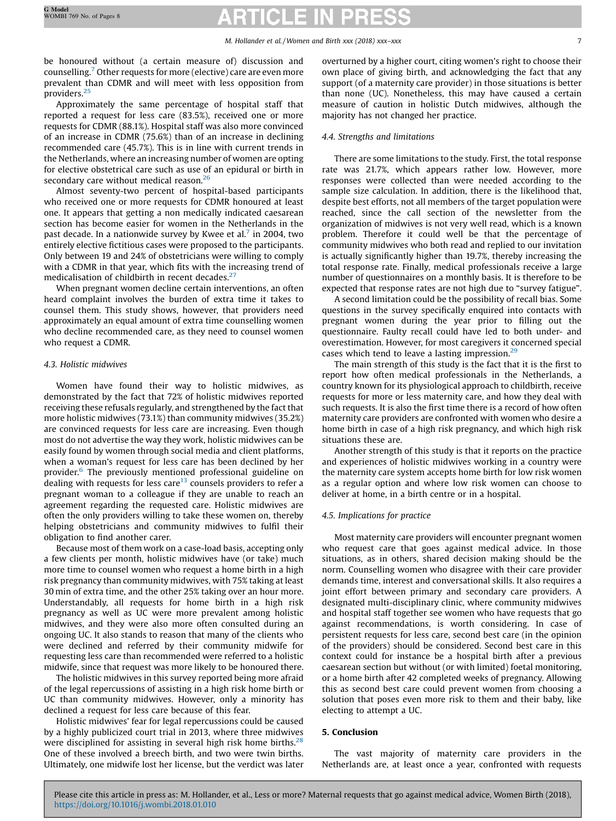be honoured without (a certain measure of) discussion and counselling.[7](#page-8-0) Other requests for more (elective) care are even more prevalent than CDMR and will meet with less opposition from providers.[25](#page-8-0)

Approximately the same percentage of hospital staff that reported a request for less care (83.5%), received one or more requests for CDMR (88.1%). Hospital staff was also more convinced of an increase in CDMR (75.6%) than of an increase in declining recommended care (45.7%). This is in line with current trends in the Netherlands, where an increasing number of women are opting for elective obstetrical care such as use of an epidural or birth in secondary care without medical reason.<sup>[26](#page-8-0)</sup>

Almost seventy-two percent of hospital-based participants who received one or more requests for CDMR honoured at least one. It appears that getting a non medically indicated caesarean section has become easier for women in the Netherlands in the past decade. In a nationwide survey by Kwee et al.<sup>[7](#page-8-0)</sup> in 2004, two entirely elective fictitious cases were proposed to the participants. Only between 19 and 24% of obstetricians were willing to comply with a CDMR in that year, which fits with the increasing trend of medicalisation of childbirth in recent decades.<sup>[27](#page-8-0)</sup>

When pregnant women decline certain interventions, an often heard complaint involves the burden of extra time it takes to counsel them. This study shows, however, that providers need approximately an equal amount of extra time counselling women who decline recommended care, as they need to counsel women who request a CDMR.

# 4.3. Holistic midwives

Women have found their way to holistic midwives, as demonstrated by the fact that 72% of holistic midwives reported receiving these refusals regularly, and strengthened by the fact that more holistic midwives (73.1%) than community midwives (35.2%) are convinced requests for less care are increasing. Even though most do not advertise the way they work, holistic midwives can be easily found by women through social media and client platforms, when a woman's request for less care has been declined by her provider.<sup>[6](#page-8-0)</sup> The previously mentioned professional guideline on dealing with requests for less care $13$  counsels providers to refer a pregnant woman to a colleague if they are unable to reach an agreement regarding the requested care. Holistic midwives are often the only providers willing to take these women on, thereby helping obstetricians and community midwives to fulfil their obligation to find another carer.

Because most of them work on a case-load basis, accepting only a few clients per month, holistic midwives have (or take) much more time to counsel women who request a home birth in a high risk pregnancy than community midwives, with 75% taking at least 30 min of extra time, and the other 25% taking over an hour more. Understandably, all requests for home birth in a high risk pregnancy as well as UC were more prevalent among holistic midwives, and they were also more often consulted during an ongoing UC. It also stands to reason that many of the clients who were declined and referred by their community midwife for requesting less care than recommended were referred to a holistic midwife, since that request was more likely to be honoured there.

The holistic midwives in this survey reported being more afraid of the legal repercussions of assisting in a high risk home birth or UC than community midwives. However, only a minority has declined a request for less care because of this fear.

Holistic midwives' fear for legal repercussions could be caused by a highly publicized court trial in 2013, where three midwives were disciplined for assisting in several high risk home births. $28$ One of these involved a breech birth, and two were twin births. Ultimately, one midwife lost her license, but the verdict was later overturned by a higher court, citing women's right to choose their own place of giving birth, and acknowledging the fact that any support (of a maternity care provider) in those situations is better than none (UC). Nonetheless, this may have caused a certain measure of caution in holistic Dutch midwives, although the majority has not changed her practice.

### 4.4. Strengths and limitations

There are some limitations to the study. First, the total response rate was 21.7%, which appears rather low. However, more responses were collected than were needed according to the sample size calculation. In addition, there is the likelihood that, despite best efforts, not all members of the target population were reached, since the call section of the newsletter from the organization of midwives is not very well read, which is a known problem. Therefore it could well be that the percentage of community midwives who both read and replied to our invitation is actually significantly higher than 19.7%, thereby increasing the total response rate. Finally, medical professionals receive a large number of questionnaires on a monthly basis. It is therefore to be expected that response rates are not high due to "survey fatigue".

A second limitation could be the possibility of recall bias. Some questions in the survey specifically enquired into contacts with pregnant women during the year prior to filling out the questionnaire. Faulty recall could have led to both under- and overestimation. However, for most caregivers it concerned special cases which tend to leave a lasting impression.<sup>[29](#page-8-0)</sup>

The main strength of this study is the fact that it is the first to report how often medical professionals in the Netherlands, a country known for its physiological approach to childbirth, receive requests for more or less maternity care, and how they deal with such requests. It is also the first time there is a record of how often maternity care providers are confronted with women who desire a home birth in case of a high risk pregnancy, and which high risk situations these are.

Another strength of this study is that it reports on the practice and experiences of holistic midwives working in a country were the maternity care system accepts home birth for low risk women as a regular option and where low risk women can choose to deliver at home, in a birth centre or in a hospital.

# 4.5. Implications for practice

Most maternity care providers will encounter pregnant women who request care that goes against medical advice. In those situations, as in others, shared decision making should be the norm. Counselling women who disagree with their care provider demands time, interest and conversational skills. It also requires a joint effort between primary and secondary care providers. A designated multi-disciplinary clinic, where community midwives and hospital staff together see women who have requests that go against recommendations, is worth considering. In case of persistent requests for less care, second best care (in the opinion of the providers) should be considered. Second best care in this context could for instance be a hospital birth after a previous caesarean section but without (or with limited) foetal monitoring, or a home birth after 42 completed weeks of pregnancy. Allowing this as second best care could prevent women from choosing a solution that poses even more risk to them and their baby, like electing to attempt a UC.

# 5. Conclusion

The vast majority of maternity care providers in the Netherlands are, at least once a year, confronted with requests